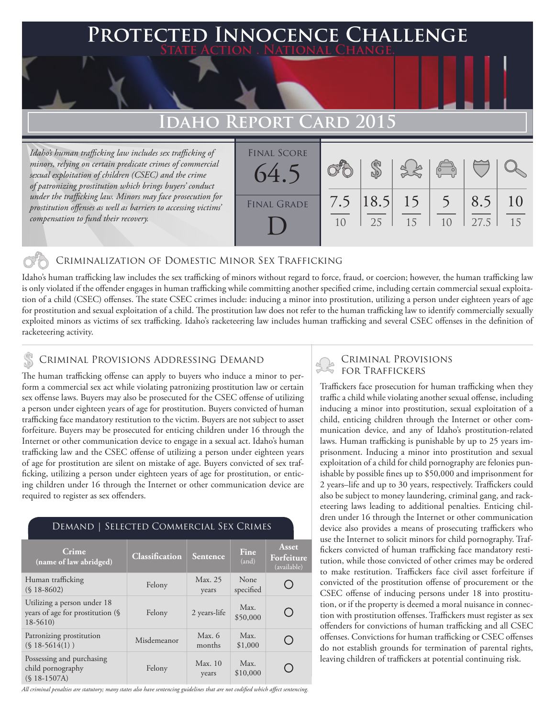## **FED INNOCENCE CHALLENGE State Action . National Change.**

## **Idaho Report Card 2015**

*Idaho's human trafficking law includes sex trafficking of minors, relying on certain predicate crimes of commercial sexual exploitation of children (CSEC) and the crime of patronizing prostitution which brings buyers' conduct under the trafficking law. Minors may face prosecution for prostitution offenses as well as barriers to accessing victims' compensation to fund their recovery.*

| <b>FINAL SCORE</b><br>64.5 |           |                   |    | $\sqrt{2}$     |             |          |
|----------------------------|-----------|-------------------|----|----------------|-------------|----------|
| <b>FINAL GRADE</b>         | 7.5<br>10 | $ 18.5 $ 15<br>25 | 15 | 1 <sub>0</sub> | 8.5<br>27.5 | 10<br>15 |

## Criminalization of Domestic Minor Sex Trafficking

Idaho's human trafficking law includes the sex trafficking of minors without regard to force, fraud, or coercion; however, the human trafficking law is only violated if the offender engages in human trafficking while committing another specified crime, including certain commercial sexual exploitation of a child (CSEC) offenses. The state CSEC crimes include: inducing a minor into prostitution, utilizing a person under eighteen years of age for prostitution and sexual exploitation of a child. The prostitution law does not refer to the human trafficking law to identify commercially sexually exploited minors as victims of sex trafficking. Idaho's racketeering law includes human trafficking and several CSEC offenses in the definition of racketeering activity.

## CRIMINAL PROVISIONS ADDRESSING DEMAND

The human trafficking offense can apply to buyers who induce a minor to perform a commercial sex act while violating patronizing prostitution law or certain sex offense laws. Buyers may also be prosecuted for the CSEC offense of utilizing a person under eighteen years of age for prostitution. Buyers convicted of human trafficking face mandatory restitution to the victim. Buyers are not subject to asset forfeiture. Buyers may be prosecuted for enticing children under 16 through the Internet or other communication device to engage in a sexual act. Idaho's human trafficking law and the CSEC offense of utilizing a person under eighteen years of age for prostitution are silent on mistake of age. Buyers convicted of sex trafficking, utilizing a person under eighteen years of age for prostitution, or enticing children under 16 through the Internet or other communication device are required to register as sex offenders.

| Crime<br>(name of law abridged)                                              | <b>Classification</b> | <b>Sentence</b>  | Fine<br>(and)     | <b>Asset</b><br>Forfeiture<br>(available) |
|------------------------------------------------------------------------------|-----------------------|------------------|-------------------|-------------------------------------------|
| Human trafficking<br>$(S18-8602)$                                            | Felony                | Max. 25<br>years | None<br>specified |                                           |
| Utilizing a person under 18<br>years of age for prostitution (§<br>$18-5610$ | Felony                | 2 years-life     | Max.<br>\$50,000  |                                           |
| Patronizing prostitution<br>$(S18-5614(1))$                                  | Misdemeanor           | Max. 6<br>months | Max.<br>\$1,000   |                                           |
| Possessing and purchasing<br>child pornography<br>$(S$ 18-1507A)             | Felony                | Max.10<br>years  | Max.<br>\$10,000  |                                           |

### Demand | Selected Commercial Sex Crimes

#### *All criminal penalties are statutory; many states also have sentencing guidelines that are not codified which affect sentencing.*

# Criminal Provisions

Traffickers face prosecution for human trafficking when they traffic a child while violating another sexual offense, including inducing a minor into prostitution, sexual exploitation of a child, enticing children through the Internet or other communication device, and any of Idaho's prostitution-related laws. Human trafficking is punishable by up to 25 years imprisonment. Inducing a minor into prostitution and sexual exploitation of a child for child pornography are felonies punishable by possible fines up to \$50,000 and imprisonment for 2 years–life and up to 30 years, respectively. Traffickers could also be subject to money laundering, criminal gang, and racketeering laws leading to additional penalties. Enticing children under 16 through the Internet or other communication device also provides a means of prosecuting traffickers who use the Internet to solicit minors for child pornography. Traffickers convicted of human trafficking face mandatory restitution, while those convicted of other crimes may be ordered to make restitution. Traffickers face civil asset forfeiture if convicted of the prostitution offense of procurement or the CSEC offense of inducing persons under 18 into prostitution, or if the property is deemed a moral nuisance in connection with prostitution offenses. Traffickers must register as sex offenders for convictions of human trafficking and all CSEC offenses. Convictions for human trafficking or CSEC offenses do not establish grounds for termination of parental rights, leaving children of traffickers at potential continuing risk.